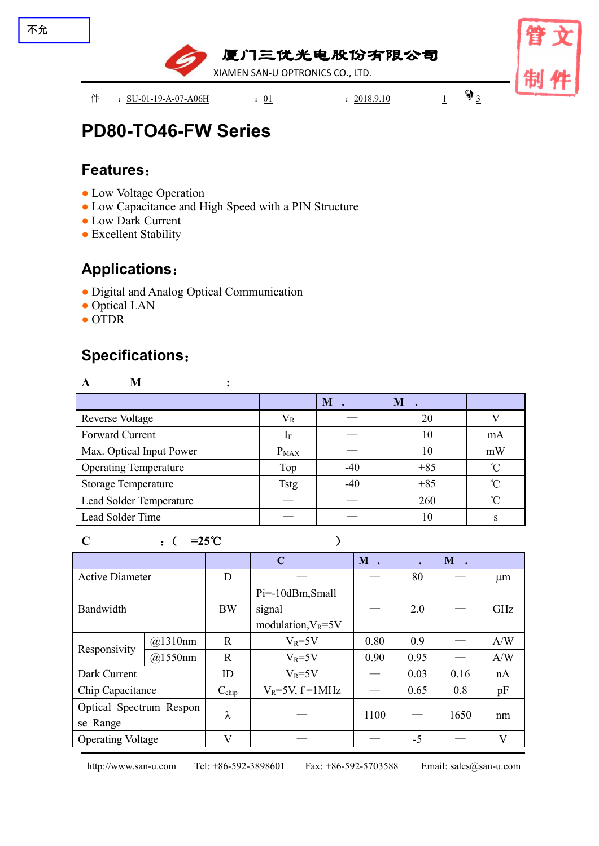

# **PD80-TO46-FW Series**

### **Features**:

- Low Voltage Operation
- Low Capacitance and High Speed with a PIN Structure
- Low Dark Current
- Excellent Stability

### **Applications**:

- Digital and Analog Optical Communication
- Optical LAN
- OTDR

### **Specifications**:

| A                            |             |                |       |            |
|------------------------------|-------------|----------------|-------|------------|
|                              |             | $\mathbf{M}$ . | M     |            |
| <b>Reverse Voltage</b>       | $V_{R}$     |                | 20    |            |
| Forward Current              |             |                | 10    | mA         |
| Max. Optical Input Power     | $P_{MAX}$   |                | 10    | mW         |
| <b>Operating Temperature</b> | Top         | $-40$          | $+85$ | $^{\circ}$ |
| <b>Storage Temperature</b>   | <b>Tstg</b> | $-40$          | $+85$ | $\sim$     |
| Lead Solder Temperature      |             |                | 260   | $\sim$     |
| Lead Solder Time             |             |                | 10    |            |

#### **C** :( **=25**℃ )

**C M . . M .** Active Diameter D — — 80 — µm Bandwidth  $B(W | signal) = 2.0$ Pi=-10dBm,Small signal signal  $\begin{vmatrix} - & 2.0 & - \end{vmatrix}$  GHz Responsivity  $\frac{(a)1310 \text{nm}}{(a)1550 \text{nm}}$  R @1310nm | R |  $V_R$ =5V | 0.80 | 0.9 | — | A/W | @1550nm | R | V<sub>R</sub>=5V | 0.90 | 0.95 | — | A/W | Dark Current  $\vert$  ID  $\vert$  V<sub>R</sub>=5V  $\vert$   $-$  | 0.03 | 0.16 | nA | Chip Capacitance Cchip VR=5V, f =1MHz — 0.65 0.8 pF Optical Spectrum Respon  $\Big|$   $\lambda$ se Range  $\lambda$  |  $-$  | 1100 |  $-$  | 1650 | nm | Operating Voltage V — — -5 — V

http://www.san-u.com Tel: +86-592-3898601 Fax: +86-592-5703588 Email: sales@san-u.com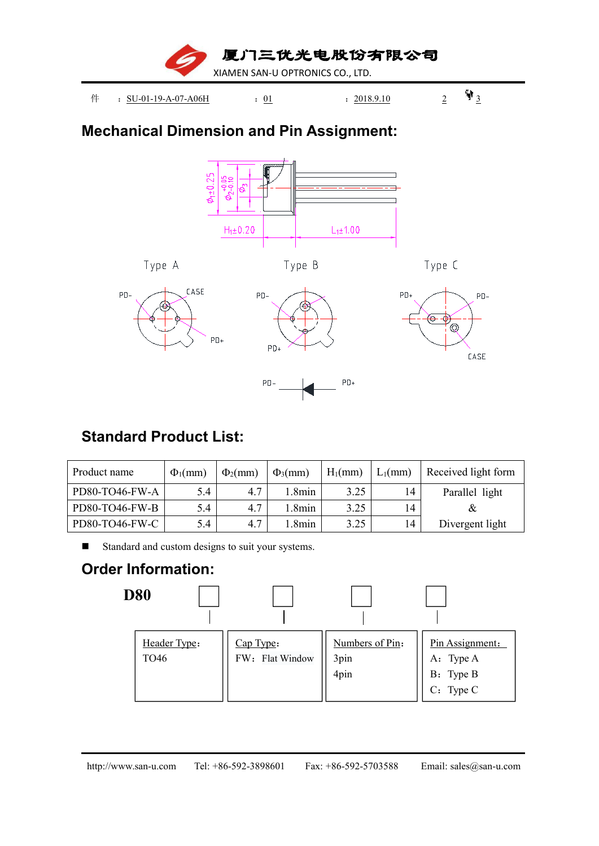

## **Mechanical Dimension and Pin Assignment:**



 $PD+$ 

## **Standard Product List:**

| Product name   | $\Phi_1$ (mm) | $\Phi_2$ (mm) | $\Phi_3$ (mm) | $H_1$ (mm) | $L_1$ (mm) | Received light form |
|----------------|---------------|---------------|---------------|------------|------------|---------------------|
| PD80-TO46-FW-A | 5.4           | 4.7           | .8min         | 3.25       | 14         | Parallel light      |
| PD80-TO46-FW-B | 5.4           | 4.7           | .8min         | 3.25       | 14         |                     |
| PD80-TO46-FW-C | 5.4           | 4.7           | .8min         | 3.25       | 14         | Divergent light     |

 $PD-$ 

Standard and custom designs to suit your systems.

# **Order Information:**